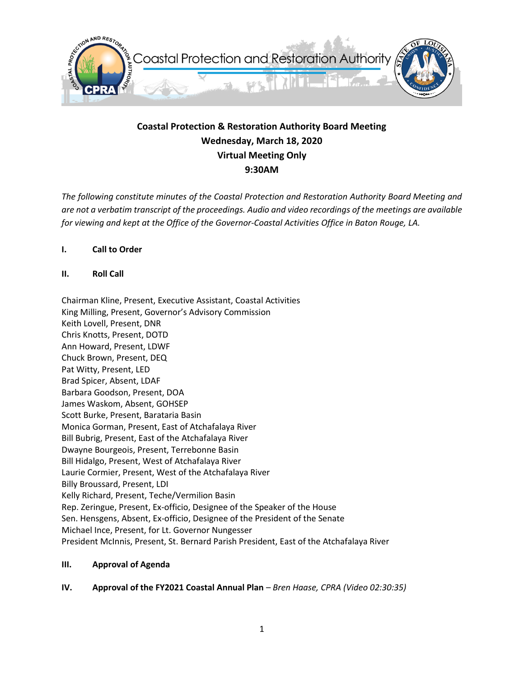

# **Coastal Protection & Restoration Authority Board Meeting Wednesday, March 18, 2020 Virtual Meeting Only 9:30AM**

*The following constitute minutes of the Coastal Protection and Restoration Authority Board Meeting and are not a verbatim transcript of the proceedings. Audio and video recordings of the meetings are available for viewing and kept at the Office of the Governor-Coastal Activities Office in Baton Rouge, LA.* 

## **I. Call to Order**

**II. Roll Call**

Chairman Kline, Present, Executive Assistant, Coastal Activities King Milling, Present, Governor's Advisory Commission Keith Lovell, Present, DNR Chris Knotts, Present, DOTD Ann Howard, Present, LDWF Chuck Brown, Present, DEQ Pat Witty, Present, LED Brad Spicer, Absent, LDAF Barbara Goodson, Present, DOA James Waskom, Absent, GOHSEP Scott Burke, Present, Barataria Basin Monica Gorman, Present, East of Atchafalaya River Bill Bubrig, Present, East of the Atchafalaya River Dwayne Bourgeois, Present, Terrebonne Basin Bill Hidalgo, Present, West of Atchafalaya River Laurie Cormier, Present, West of the Atchafalaya River Billy Broussard, Present, LDI Kelly Richard, Present, Teche/Vermilion Basin Rep. Zeringue, Present, Ex-officio, Designee of the Speaker of the House Sen. Hensgens, Absent, Ex-officio, Designee of the President of the Senate Michael Ince, Present, for Lt. Governor Nungesser President McInnis, Present, St. Bernard Parish President, East of the Atchafalaya River

#### **III. Approval of Agenda**

**IV. Approval of the FY2021 Coastal Annual Plan** *– Bren Haase, CPRA (Video 02:30:35)*